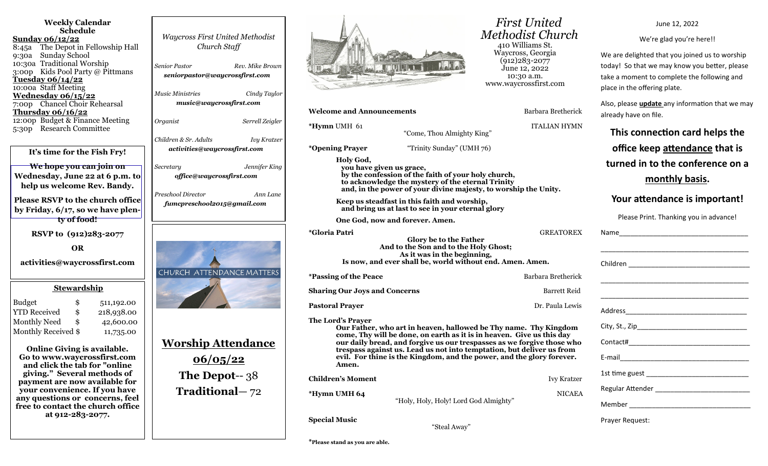| <b>Weekly Calendar</b><br><b>Schedule</b><br><b>Sunday 06/12/22</b><br>The Depot in Fellowship Hall<br>8:45a<br><b>Sunday School</b><br>9:30a<br>10:30a Traditional Worship<br>3:00p Kids Pool Party @ Pittmans<br><u>Tuesday 06/14/22</u><br>10:00a Staff Meeting<br>Wednesday 06/15/22 | <b>Waycross First United Methodist</b><br>Church Staff<br>Rev. Mike Brown<br>Senior Pastor<br>seniorpastor@waycrossfirst.com<br><b>Music Ministries</b><br>Cindy Taylor<br>music@waycrossfirst.com |                                                                                                                                                                                                                                                                                                                                                                                                     | <b>First United</b><br><b>Methodist Church</b><br>410 Williams St.<br>Waycross, Georgia<br>$(912)283 - 2077$<br>June 12, 2022<br>10:30 a.m.<br>www.waycrossfirst.com |
|------------------------------------------------------------------------------------------------------------------------------------------------------------------------------------------------------------------------------------------------------------------------------------------|----------------------------------------------------------------------------------------------------------------------------------------------------------------------------------------------------|-----------------------------------------------------------------------------------------------------------------------------------------------------------------------------------------------------------------------------------------------------------------------------------------------------------------------------------------------------------------------------------------------------|----------------------------------------------------------------------------------------------------------------------------------------------------------------------|
| 7:00p Chancel Choir Rehearsal<br><b>Thursday 06/16/22</b>                                                                                                                                                                                                                                |                                                                                                                                                                                                    | <b>Welcome and Announcements</b>                                                                                                                                                                                                                                                                                                                                                                    | Barbara Bretherick                                                                                                                                                   |
| 12:00p Budget & Finance Meeting<br><b>Research Committee</b><br>5:30p                                                                                                                                                                                                                    | Organist<br>Serrell Zeigler                                                                                                                                                                        | *Hymn UMH 61<br>"Come, Thou Almighty King"                                                                                                                                                                                                                                                                                                                                                          | <b>ITALIAN HYMN</b>                                                                                                                                                  |
|                                                                                                                                                                                                                                                                                          | Children & Sr. Adults<br><b>Ivy Kratzer</b><br>activities@waycrossfirst.com                                                                                                                        | *Opening Prayer<br>"Trinity Sunday" (UMH 76)                                                                                                                                                                                                                                                                                                                                                        |                                                                                                                                                                      |
| It's time for the Fish Fry!                                                                                                                                                                                                                                                              |                                                                                                                                                                                                    | Holy God,                                                                                                                                                                                                                                                                                                                                                                                           |                                                                                                                                                                      |
| We hope you can join on<br>Wednesday, June 22 at 6 p.m. to<br>help us welcome Rev. Bandy.                                                                                                                                                                                                | Jennifer King<br>Secretary<br>office@waycrossfirst.com<br>Preschool Director                                                                                                                       | you have given us grace,<br>by the confession of the faith of your holy church,<br>to acknowledge the mystery of the eternal Trinity<br>and, in the power of your divine majesty, to worship the Unity.                                                                                                                                                                                             |                                                                                                                                                                      |
| <b>Please RSVP to the church office</b><br>by Friday, 6/17, so we have plen-                                                                                                                                                                                                             | Ann Lane<br>fumcpreschool2015@gmail.com                                                                                                                                                            | Keep us steadfast in this faith and worship,<br>and bring us at last to see in your eternal glory                                                                                                                                                                                                                                                                                                   |                                                                                                                                                                      |
| ty of food!                                                                                                                                                                                                                                                                              |                                                                                                                                                                                                    | One God, now and forever. Amen.                                                                                                                                                                                                                                                                                                                                                                     |                                                                                                                                                                      |
| RSVP to (912)283-2077<br><b>OR</b><br>activities@waycrossfirst.com                                                                                                                                                                                                                       | <b>CHURCH ATTENDANCE MATTERS</b>                                                                                                                                                                   | <i><b>*Gloria Patri</b></i><br>Glory be to the Father<br>And to the Son and to the Holy Ghost;<br>As it was in the beginning,<br>Is now, and ever shall be, world without end. Amen. Amen.<br><i><b>*Passing of the Peace</b></i>                                                                                                                                                                   | <b>GREATOREX</b><br>Barbara Bretherick                                                                                                                               |
| <b>Stewardship</b>                                                                                                                                                                                                                                                                       |                                                                                                                                                                                                    |                                                                                                                                                                                                                                                                                                                                                                                                     |                                                                                                                                                                      |
|                                                                                                                                                                                                                                                                                          |                                                                                                                                                                                                    | <b>Sharing Our Joys and Concerns</b>                                                                                                                                                                                                                                                                                                                                                                | <b>Barrett Reid</b>                                                                                                                                                  |
| <b>Budget</b><br>\$<br>511,192.00<br><b>YTD</b> Received<br>\$<br>218,938.00                                                                                                                                                                                                             |                                                                                                                                                                                                    | <b>Pastoral Prayer</b>                                                                                                                                                                                                                                                                                                                                                                              | Dr. Paula Lewis                                                                                                                                                      |
| Monthly Need<br>\$<br>42,600.00<br>Monthly Received \$<br>11,735.00<br><b>Online Giving is available.</b><br>Go to www.waycrossfirst.com<br>and click the tab for "online"<br>giving." Several methods of                                                                                | <u> Worship Attendance</u><br>06/05/22                                                                                                                                                             | The Lord's Prayer<br>Our Father, who art in heaven, hallowed be Thy name. Thy Kingdom<br>come, Thy will be done, on earth as it is in heaven. Give us this day<br>our daily bread, and forgive us our trespasses as we forgive those who<br>trespass against us. Lead us not into temptation, but deliver us from<br>evil. For thine is the Kingdom, and the power, and the glory forever.<br>Amen. |                                                                                                                                                                      |
| payment are now available for                                                                                                                                                                                                                                                            | <b>The Depot-- 38</b>                                                                                                                                                                              | <b>Children's Moment</b>                                                                                                                                                                                                                                                                                                                                                                            | <b>Ivy Kratzer</b>                                                                                                                                                   |
| your convenience. If you have<br>any questions or concerns, feel<br>free to contact the church office                                                                                                                                                                                    | Traditional-72                                                                                                                                                                                     | *Hymn UMH 64<br>"Holy, Holy, Holy! Lord God Almighty"                                                                                                                                                                                                                                                                                                                                               | <b>NICAEA</b>                                                                                                                                                        |
| at 912-283-2077.                                                                                                                                                                                                                                                                         |                                                                                                                                                                                                    | <b>Special Music</b><br>"Steal Away"                                                                                                                                                                                                                                                                                                                                                                |                                                                                                                                                                      |

June 12, 2022

We're glad you're here!!

We are delighted that you joined us to worship today! So that we may know you better, please take a moment to complete the following and place in the offering plate.

Also, please **update** any information that we may already have on file.

**This connection card helps the office keep attendance that is turned in to the conference on a** 

**monthly basis.** 

## **Your attendance is important!**

Please Print. Thanking you in advance!

| Prayer Request: |
|-----------------|

**\*Please stand as you are able.**